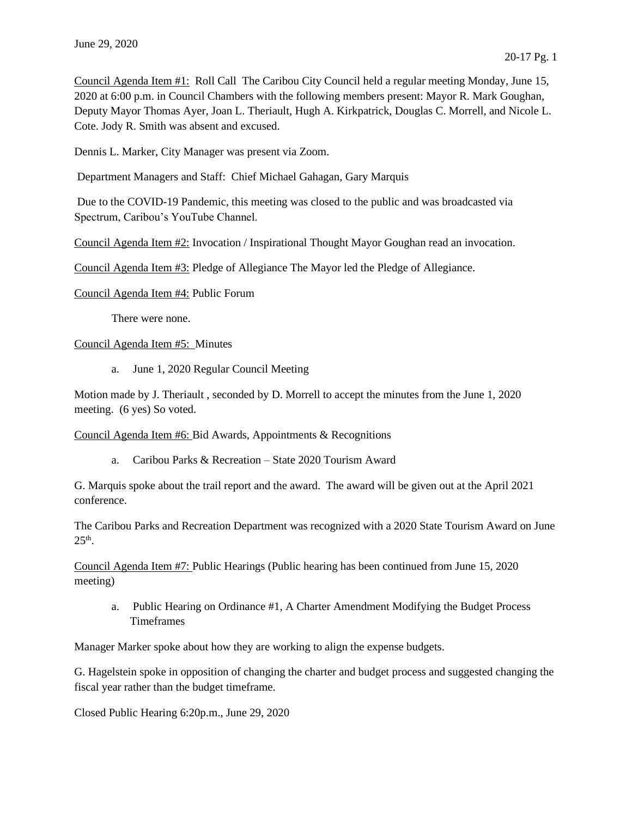Council Agenda Item #1: Roll Call The Caribou City Council held a regular meeting Monday, June 15, 2020 at 6:00 p.m. in Council Chambers with the following members present: Mayor R. Mark Goughan, Deputy Mayor Thomas Ayer, Joan L. Theriault, Hugh A. Kirkpatrick, Douglas C. Morrell, and Nicole L. Cote. Jody R. Smith was absent and excused.

Dennis L. Marker, City Manager was present via Zoom.

Department Managers and Staff: Chief Michael Gahagan, Gary Marquis

Due to the COVID-19 Pandemic, this meeting was closed to the public and was broadcasted via Spectrum, Caribou's YouTube Channel.

Council Agenda Item #2: Invocation / Inspirational Thought Mayor Goughan read an invocation.

Council Agenda Item #3: Pledge of Allegiance The Mayor led the Pledge of Allegiance.

Council Agenda Item #4: Public Forum

There were none.

Council Agenda Item #5: Minutes

a. June 1, 2020 Regular Council Meeting

Motion made by J. Theriault , seconded by D. Morrell to accept the minutes from the June 1, 2020 meeting. (6 yes) So voted.

Council Agenda Item #6: Bid Awards, Appointments & Recognitions

a. Caribou Parks & Recreation – State 2020 Tourism Award

G. Marquis spoke about the trail report and the award. The award will be given out at the April 2021 conference.

The Caribou Parks and Recreation Department was recognized with a 2020 State Tourism Award on June  $25<sup>th</sup>$ .

Council Agenda Item #7: Public Hearings (Public hearing has been continued from June 15, 2020 meeting)

a. Public Hearing on Ordinance #1, A Charter Amendment Modifying the Budget Process Timeframes

Manager Marker spoke about how they are working to align the expense budgets.

G. Hagelstein spoke in opposition of changing the charter and budget process and suggested changing the fiscal year rather than the budget timeframe.

Closed Public Hearing 6:20p.m., June 29, 2020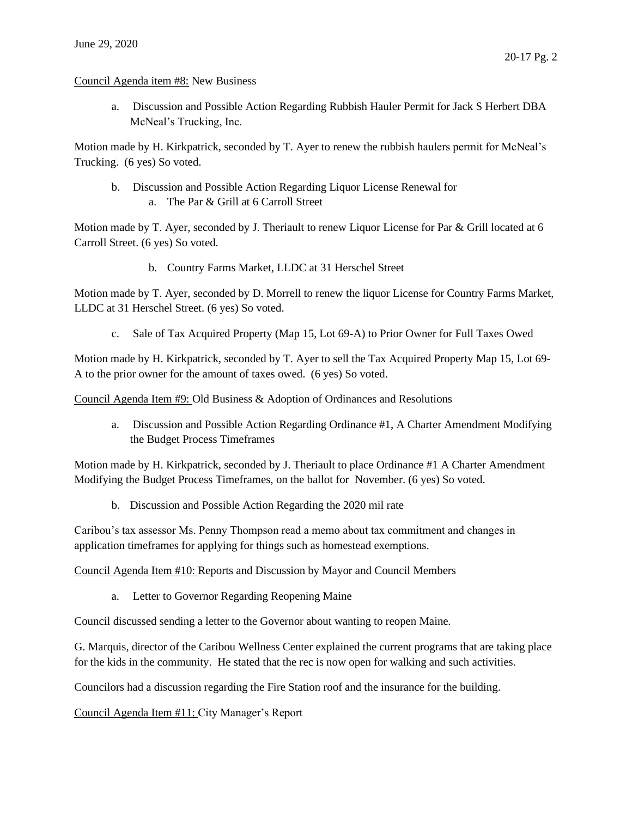## Council Agenda item #8: New Business

a. Discussion and Possible Action Regarding Rubbish Hauler Permit for Jack S Herbert DBA McNeal's Trucking, Inc.

Motion made by H. Kirkpatrick, seconded by T. Ayer to renew the rubbish haulers permit for McNeal's Trucking. (6 yes) So voted.

b. Discussion and Possible Action Regarding Liquor License Renewal for a. The Par & Grill at 6 Carroll Street

Motion made by T. Ayer, seconded by J. Theriault to renew Liquor License for Par & Grill located at 6 Carroll Street. (6 yes) So voted.

b. Country Farms Market, LLDC at 31 Herschel Street

Motion made by T. Ayer, seconded by D. Morrell to renew the liquor License for Country Farms Market, LLDC at 31 Herschel Street. (6 yes) So voted.

c. Sale of Tax Acquired Property (Map 15, Lot 69-A) to Prior Owner for Full Taxes Owed

Motion made by H. Kirkpatrick, seconded by T. Ayer to sell the Tax Acquired Property Map 15, Lot 69- A to the prior owner for the amount of taxes owed. (6 yes) So voted.

Council Agenda Item #9: Old Business & Adoption of Ordinances and Resolutions

a. Discussion and Possible Action Regarding Ordinance #1, A Charter Amendment Modifying the Budget Process Timeframes

Motion made by H. Kirkpatrick, seconded by J. Theriault to place Ordinance #1 A Charter Amendment Modifying the Budget Process Timeframes, on the ballot for November. (6 yes) So voted.

b. Discussion and Possible Action Regarding the 2020 mil rate

Caribou's tax assessor Ms. Penny Thompson read a memo about tax commitment and changes in application timeframes for applying for things such as homestead exemptions.

Council Agenda Item #10: Reports and Discussion by Mayor and Council Members

a. Letter to Governor Regarding Reopening Maine

Council discussed sending a letter to the Governor about wanting to reopen Maine.

G. Marquis, director of the Caribou Wellness Center explained the current programs that are taking place for the kids in the community. He stated that the rec is now open for walking and such activities.

Councilors had a discussion regarding the Fire Station roof and the insurance for the building.

Council Agenda Item #11: City Manager's Report